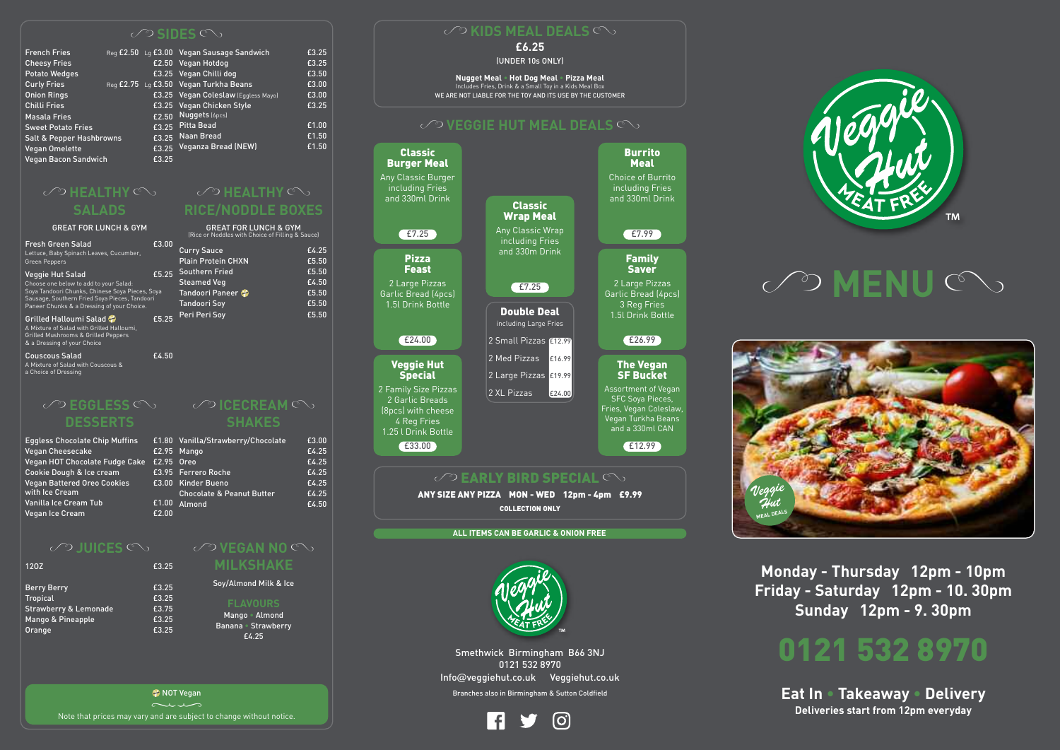

**TM** 



Smethwick Birmingham B66 3NJ 0121 532 8970 Info@veggiehut.co.uk Veggiehut.co.uk Branches also in Birmingham & Sutton Coldfield



**Monday - Thursday 12pm - 10pm Friday - Saturday 12pm - 10. 30pm Sunday 12pm - 9. 30pm**

# **0121 532 8970**

**Eat In • Takeaway • Delivery Deliveries start from 12pm everyday**

**2** NOT Vegan NOT vegan<br>Rote that prices may vary and are subject to change without notice.

### **£6.25**

(UNDER 10s ONLY)

**Nugget Meal • Hot Dog Meal • Pizza Meal** Includes Fries, Drink & a Small Toy in a Kids Meal Box WE ARE NOT LIABLE FOR THE TOY AND ITS USE BY THE CUSTOMER

# **COVEGGIE HUT MEAL DEALS**



### $\oslash$ **HEALTHY SALADS**

### **GREAT FOR LUNCH &**

Choose one below to add to your Sal Soya Tandoori Chunks, Chinese Soya Pieces, Soya Sausage, Southern Fried Soya Pieces, Tandoori Paneer Chunks & a Dressing of your Choice.

Grilled Halloumi Salad A Mixture of Salad with Grilled Halloumi, Grilled Mushrooms & Grilled Peppers & a Dressing of your Choice

Couscous Salad **E4.50** A Mixture of Salad with Couscous &

## **COHEALTHY RICE/NODDLE BOXES**

# **CO EGGLESS DESSERTS**

| <b>Berry Berry</b>               | £3.25 |
|----------------------------------|-------|
| <b>Tropical</b>                  | £3.25 |
| <b>Strawberry &amp; Lemonade</b> | £3.75 |
| Mango & Pineapple                | £3.25 |
| Orange                           | £3.25 |

# $\oslash$ **CECREAM SHAKES**

| <b>Fresh Green Salad</b>                | £3.00 |
|-----------------------------------------|-------|
| Lettuce, Baby Spinach Leaves, Cucumber, |       |
| Green Peppers                           |       |

### Veggie Hut Salad

### **COVEGAN NO MILKSHAKE**

a Choice of Dressing





| <b>GYM</b>                                     |       | <b>GREAT FOR LUNCH &amp; GYM</b><br>(Rice or Noddles with Choice of Filling & Sauce) |                |
|------------------------------------------------|-------|--------------------------------------------------------------------------------------|----------------|
| ber.                                           | £3.00 | <b>Curry Sauce</b><br><b>Plain Protein CHXN</b>                                      | £4.25<br>£5.50 |
| ŀ.                                             | £5.25 | <b>Southern Fried</b><br><b>Steamed Veg</b>                                          | £5.50<br>£4.50 |
| <sup>P</sup> ieces, Soya<br>Tandoori<br>hoice. |       | Tandoori Paneer<br>Tandoori Soy                                                      | £5.50<br>£5.50 |
| ni.                                            | £5.25 | Peri Peri Soy                                                                        | £5.50          |

### $\oslash$ **SIDES**  $\oslash$

| <b>French Fries</b>                 |       | Reg £2.50 Lg £3.00 Vegan Sausage Sandwich | £3.25 |
|-------------------------------------|-------|-------------------------------------------|-------|
| <b>Cheesy Fries</b>                 |       | £2.50 Vegan Hotdog                        | £3.25 |
| <b>Potato Wedges</b>                |       | £3.25 Vegan Chilli dog                    | £3.50 |
| <b>Curly Fries</b>                  |       | Reg £2.75 Lg £3.50 Vegan Turkha Beans     | £3.00 |
| <b>Onion Rings</b>                  |       | £3.25 Vegan Coleslaw (Eggless Mayo)       | £3.00 |
| <b>Chilli Fries</b>                 |       | £3.25 Vegan Chicken Style                 | £3.25 |
| <b>Masala Fries</b>                 | £2.50 | Nuggets (6pcs)                            |       |
| <b>Sweet Potato Fries</b>           |       | £3.25 Pitta Bead                          | £1.00 |
| <b>Salt &amp; Pepper Hashbrowns</b> |       | £3.25 Naan Bread                          | £1.50 |
| Vegan Omelette                      |       | £3.25 Veganza Bread (NEW)                 | £1.50 |
| <b>Vegan Bacon Sandwich</b>         | £3.25 |                                           |       |

| <b>Eggless Chocolate Chip Muffins</b>                | £1.80 |
|------------------------------------------------------|-------|
| <b>Vegan Cheesecake</b>                              | £2.95 |
| Vegan HOT Chocolate Fudge Cake                       | £2.95 |
| Cookie Dough & Ice cream                             | £3.95 |
| <b>Vegan Battered Oreo Cookies</b><br>with Ice Cream | £3.00 |
| Vanilla Ice Cream Tub                                | £1.00 |
| Vegan Ice Cream                                      | £2.00 |

### $\oslash$  JUICES  $\oslash$

### 12OZ **£3.25**

| is. |            | £1.80 Vanilla/Strawberry/Chocolate   | £3.00 |
|-----|------------|--------------------------------------|-------|
|     |            | £2.95 Mango                          | £4.25 |
| ake | £2.95 Oreo |                                      | £4.25 |
|     |            | £3.95 Ferrero Roche                  | £4.25 |
|     |            | £3.00 Kinder Bueno                   | £4.25 |
|     |            | <b>Chocolate &amp; Peanut Butter</b> | £4.25 |
|     | £1.00      | Almond                               | £4.50 |
|     | £2.00      |                                      |       |

Soy/Almond Milk & Ice

**FLAVOURS** Mango • Almond Banana • Strawberry £4.25

# **CO KIDS MEAL DEALS**